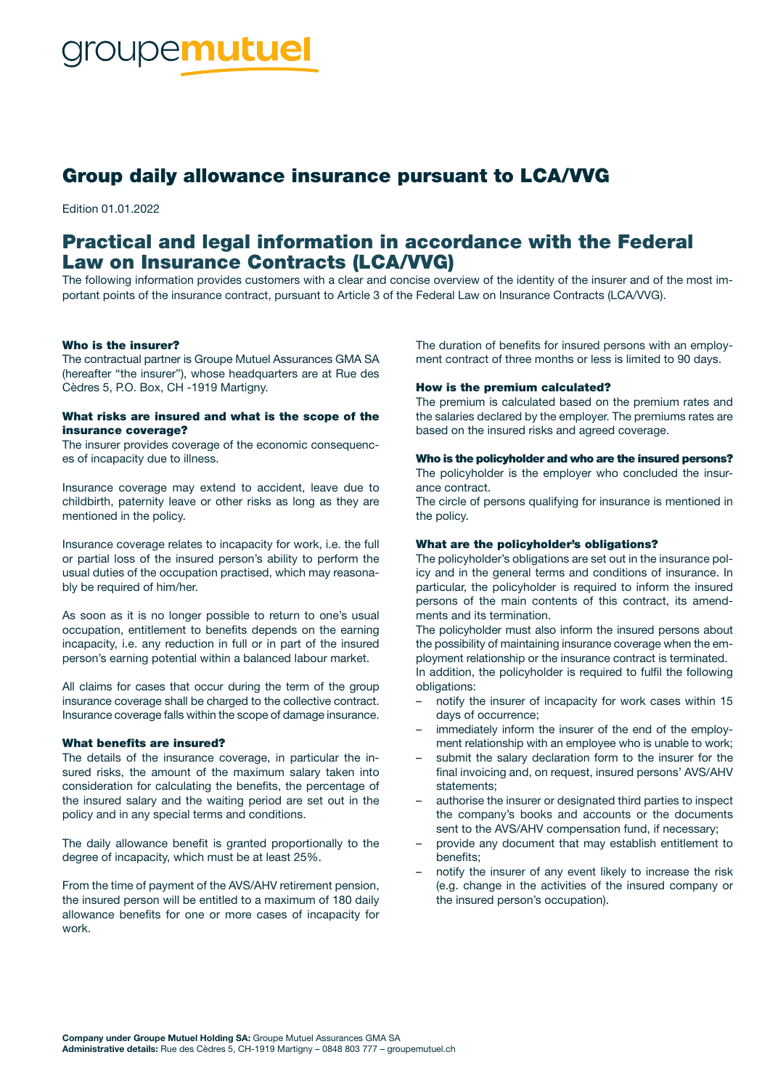# Group daily allowance insurance pursuant to LCA/VVG

Edition 01.01.2022

# Practical and legal information in accordance with the Federal Law on Insurance Contracts (LCA/VVG)

The following information provides customers with a clear and concise overview of the identity of the insurer and of the most important points of the insurance contract, pursuant to Article 3 of the Federal Law on Insurance Contracts (LCA/VVG).

#### Who is the insurer?

The contractual partner is Groupe Mutuel Assurances GMA SA (hereafter "the insurer"), whose headquarters are at Rue des Cèdres 5, P.O. Box, CH -1919 Martigny.

#### What risks are insured and what is the scope of the insurance coverage?

The insurer provides coverage of the economic consequences of incapacity due to illness.

Insurance coverage may extend to accident, leave due to childbirth, paternity leave or other risks as long as they are mentioned in the policy.

Insurance coverage relates to incapacity for work, i.e. the full or partial loss of the insured person's ability to perform the usual duties of the occupation practised, which may reasonably be required of him/her.

As soon as it is no longer possible to return to one's usual occupation, entitlement to benefits depends on the earning incapacity, i.e. any reduction in full or in part of the insured person's earning potential within a balanced labour market.

All claims for cases that occur during the term of the group insurance coverage shall be charged to the collective contract. Insurance coverage falls within the scope of damage insurance.

#### What benefits are insured?

The details of the insurance coverage, in particular the insured risks, the amount of the maximum salary taken into consideration for calculating the benefits, the percentage of the insured salary and the waiting period are set out in the policy and in any special terms and conditions.

The daily allowance benefit is granted proportionally to the degree of incapacity, which must be at least 25%.

From the time of payment of the AVS/AHV retirement pension, the insured person will be entitled to a maximum of 180 daily allowance benefits for one or more cases of incapacity for work.

The duration of benefits for insured persons with an employment contract of three months or less is limited to 90 days.

#### How is the premium calculated?

The premium is calculated based on the premium rates and the salaries declared by the employer. The premiums rates are based on the insured risks and agreed coverage.

#### Who is the policyholder and who are the insured persons?

The policyholder is the employer who concluded the insurance contract.

The circle of persons qualifying for insurance is mentioned in the policy.

#### What are the policyholder's obligations?

The policyholder's obligations are set out in the insurance policy and in the general terms and conditions of insurance. In particular, the policyholder is required to inform the insured persons of the main contents of this contract, its amendments and its termination.

The policyholder must also inform the insured persons about the possibility of maintaining insurance coverage when the employment relationship or the insurance contract is terminated. In addition, the policyholder is required to fulfil the following obligations:

- notify the insurer of incapacity for work cases within 15 days of occurrence;
- immediately inform the insurer of the end of the employment relationship with an employee who is unable to work;
- submit the salary declaration form to the insurer for the final invoicing and, on request, insured persons' AVS/AHV statements;
- authorise the insurer or designated third parties to inspect the company's books and accounts or the documents sent to the AVS/AHV compensation fund, if necessary;
- provide any document that may establish entitlement to benefits;
- notify the insurer of any event likely to increase the risk (e.g. change in the activities of the insured company or the insured person's occupation).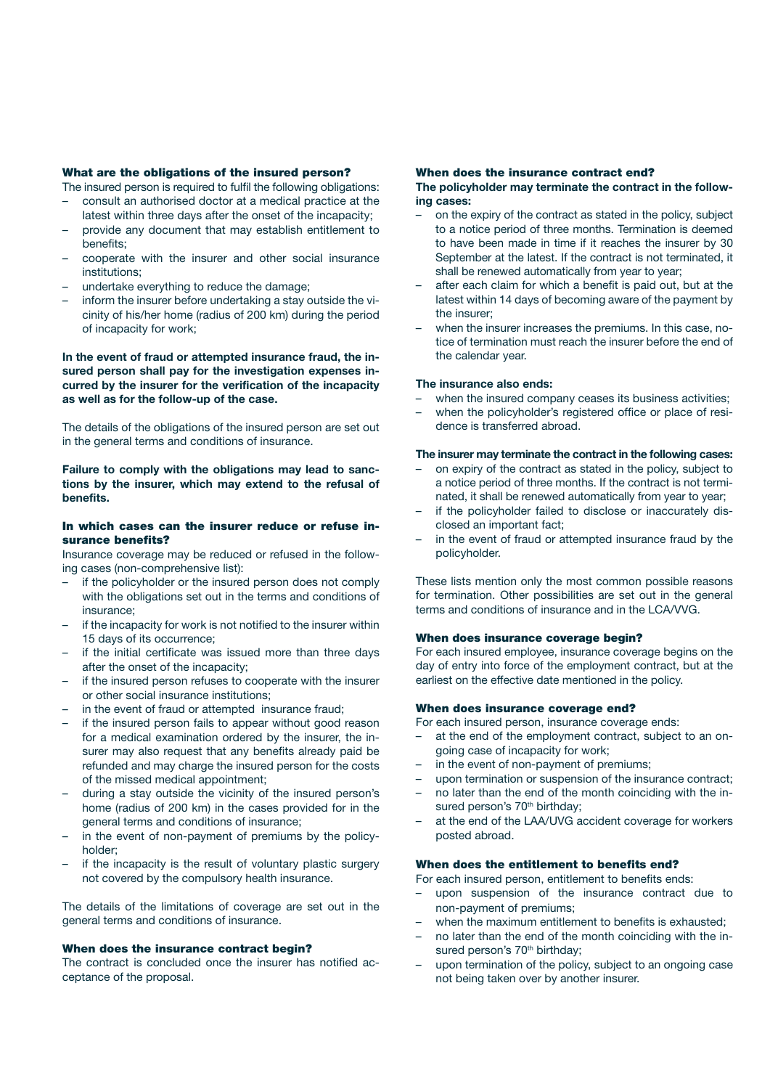#### What are the obligations of the insured person?

The insured person is required to fulfil the following obligations:

- consult an authorised doctor at a medical practice at the latest within three days after the onset of the incapacity;
- provide any document that may establish entitlement to benefits;
- cooperate with the insurer and other social insurance institutions;
- undertake everything to reduce the damage;
- inform the insurer before undertaking a stay outside the vicinity of his/her home (radius of 200 km) during the period of incapacity for work;

#### In the event of fraud or attempted insurance fraud, the insured person shall pay for the investigation expenses incurred by the insurer for the verification of the incapacity as well as for the follow-up of the case.

The details of the obligations of the insured person are set out in the general terms and conditions of insurance.

#### Failure to comply with the obligations may lead to sanctions by the insurer, which may extend to the refusal of benefits.

#### In which cases can the insurer reduce or refuse insurance benefits?

Insurance coverage may be reduced or refused in the following cases (non-comprehensive list):

- if the policyholder or the insured person does not comply with the obligations set out in the terms and conditions of insurance;
- if the incapacity for work is not notified to the insurer within 15 days of its occurrence;
- if the initial certificate was issued more than three days after the onset of the incapacity;
- if the insured person refuses to cooperate with the insurer or other social insurance institutions;
- in the event of fraud or attempted insurance fraud;
- if the insured person fails to appear without good reason for a medical examination ordered by the insurer, the insurer may also request that any benefits already paid be refunded and may charge the insured person for the costs of the missed medical appointment;
- during a stay outside the vicinity of the insured person's home (radius of 200 km) in the cases provided for in the general terms and conditions of insurance;
- in the event of non-payment of premiums by the policyholder;
- if the incapacity is the result of voluntary plastic surgery not covered by the compulsory health insurance.

The details of the limitations of coverage are set out in the general terms and conditions of insurance.

#### When does the insurance contract begin?

The contract is concluded once the insurer has notified acceptance of the proposal.

#### When does the insurance contract end?

#### The policyholder may terminate the contract in the following cases:

- on the expiry of the contract as stated in the policy, subject to a notice period of three months. Termination is deemed to have been made in time if it reaches the insurer by 30 September at the latest. If the contract is not terminated, it shall be renewed automatically from year to year;
- after each claim for which a benefit is paid out, but at the latest within 14 days of becoming aware of the payment by the insurer;
- when the insurer increases the premiums. In this case, notice of termination must reach the insurer before the end of the calendar year.

#### The insurance also ends:

- when the insured company ceases its business activities;
- when the policyholder's registered office or place of residence is transferred abroad.

#### The insurer may terminate the contract in the following cases:

- on expiry of the contract as stated in the policy, subject to a notice period of three months. If the contract is not terminated, it shall be renewed automatically from year to year;
- if the policyholder failed to disclose or inaccurately disclosed an important fact;
- in the event of fraud or attempted insurance fraud by the policyholder.

These lists mention only the most common possible reasons for termination. Other possibilities are set out in the general terms and conditions of insurance and in the LCA/VVG.

#### When does insurance coverage begin?

For each insured employee, insurance coverage begins on the day of entry into force of the employment contract, but at the earliest on the effective date mentioned in the policy.

#### When does insurance coverage end?

For each insured person, insurance coverage ends:

- at the end of the employment contract, subject to an ongoing case of incapacity for work;
- in the event of non-payment of premiums;
- upon termination or suspension of the insurance contract;
- no later than the end of the month coinciding with the insured person's 70<sup>th</sup> birthday;
- at the end of the LAA/UVG accident coverage for workers posted abroad.

#### When does the entitlement to benefits end?

- For each insured person, entitlement to benefits ends:
- upon suspension of the insurance contract due to non-payment of premiums;
- when the maximum entitlement to benefits is exhausted;
- no later than the end of the month coinciding with the insured person's 70<sup>th</sup> birthday;
- upon termination of the policy, subject to an ongoing case not being taken over by another insurer.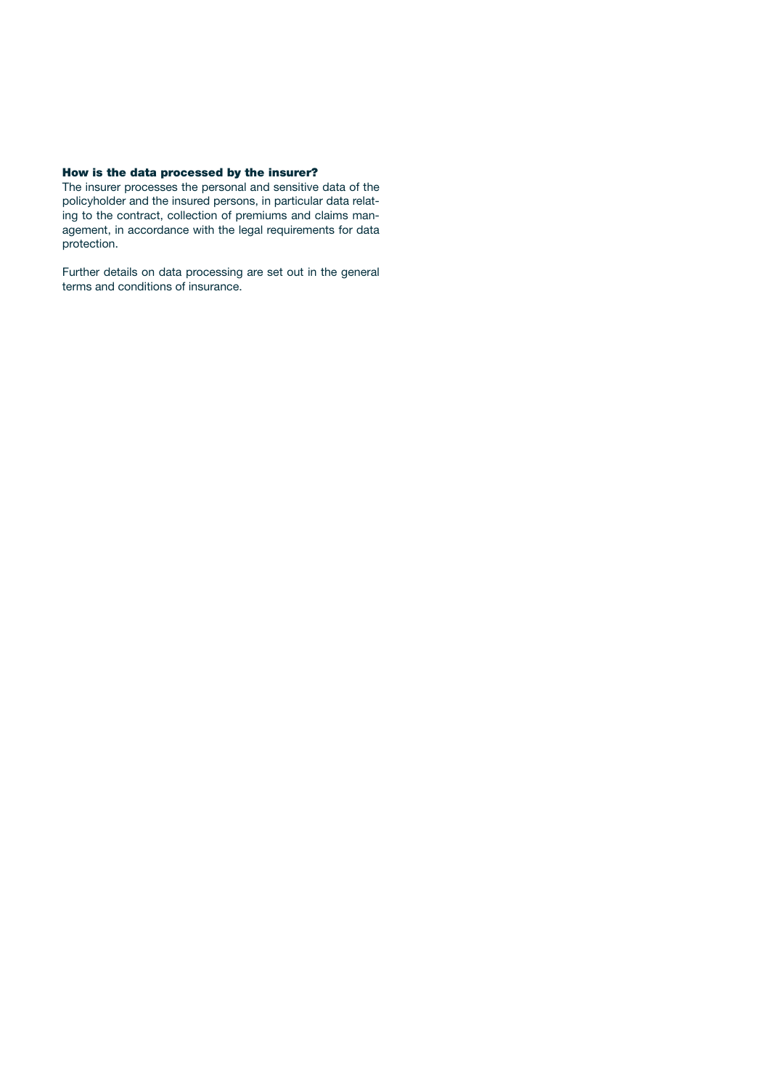#### How is the data processed by the insurer?

The insurer processes the personal and sensitive data of the policyholder and the insured persons, in particular data relating to the contract, collection of premiums and claims management, in accordance with the legal requirements for data protection.

Further details on data processing are set out in the general terms and conditions of insurance.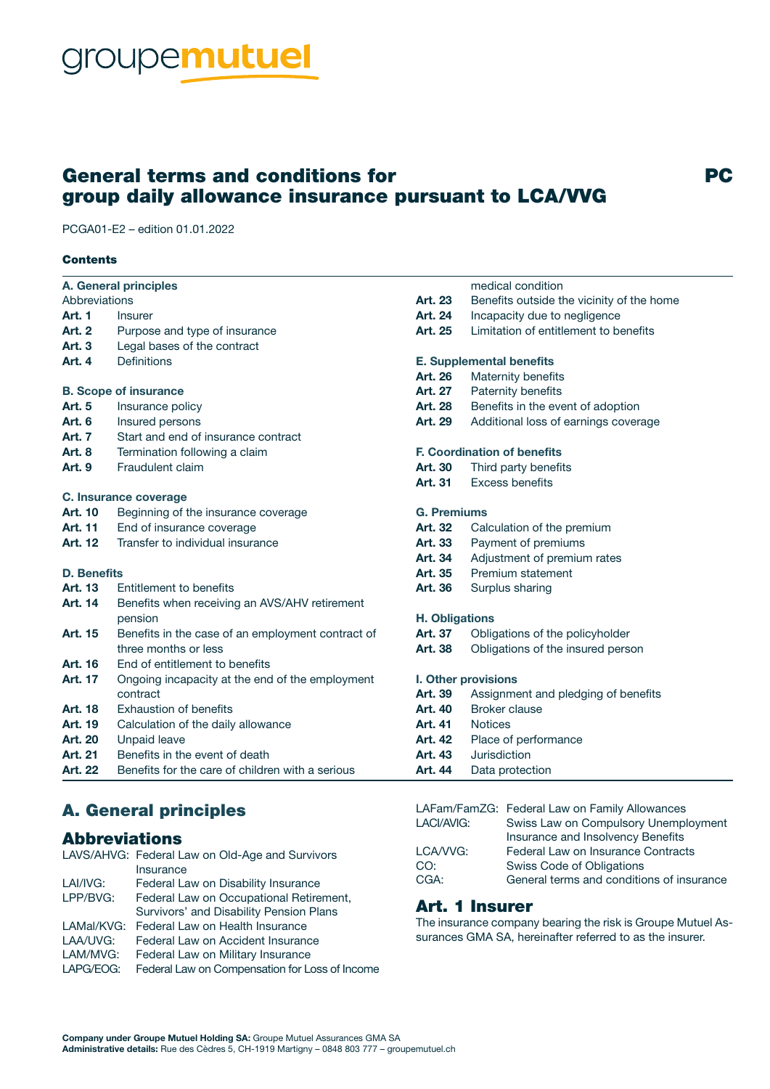# groupemutuel

# General terms and conditions for group daily allowance insurance pursuant to LCA/VVG

PCGA01-E2 – edition 01.01.2022

#### **Contents**

| <b>A. General principles</b> |                                                   |                                    | medical condition                         |
|------------------------------|---------------------------------------------------|------------------------------------|-------------------------------------------|
| Abbreviations                |                                                   | Art. 23                            | Benefits outside the vicinity of the home |
| <b>Art. 1</b>                | Insurer                                           | Art. 24                            | Incapacity due to negligence              |
| <b>Art. 2</b>                | Purpose and type of insurance                     | Art. 25                            | Limitation of entitlement to benefits     |
| <b>Art. 3</b>                | Legal bases of the contract                       |                                    |                                           |
| Art. 4                       | <b>Definitions</b>                                | <b>E. Supplemental benefits</b>    |                                           |
|                              |                                                   | Art. 26                            | Maternity benefits                        |
| <b>B. Scope of insurance</b> |                                                   | <b>Art. 27</b>                     | Paternity benefits                        |
| <b>Art. 5</b>                | Insurance policy                                  | Art. 28                            | Benefits in the event of adoption         |
| <b>Art. 6</b>                | Insured persons                                   | Art. 29                            | Additional loss of earnings coverage      |
| <b>Art. 7</b>                | Start and end of insurance contract               |                                    |                                           |
| <b>Art. 8</b>                | Termination following a claim                     | <b>F. Coordination of benefits</b> |                                           |
| <b>Art. 9</b>                | Fraudulent claim                                  | <b>Art. 30</b>                     | Third party benefits                      |
|                              |                                                   | Art. 31                            | <b>Excess benefits</b>                    |
|                              | C. Insurance coverage                             |                                    |                                           |
| <b>Art. 10</b>               | Beginning of the insurance coverage               | <b>G. Premiums</b>                 |                                           |
| <b>Art. 11</b>               | End of insurance coverage                         | <b>Art. 32</b>                     | Calculation of the premium                |
| <b>Art. 12</b>               | Transfer to individual insurance                  | Art. 33                            | Payment of premiums                       |
|                              |                                                   | Art. 34                            | Adjustment of premium rates               |
| <b>D. Benefits</b>           |                                                   | Art. 35                            | Premium statement                         |
| Art. 13                      | Entitlement to benefits                           | Art. 36                            | Surplus sharing                           |
| <b>Art. 14</b>               | Benefits when receiving an AVS/AHV retirement     |                                    |                                           |
|                              | pension                                           | <b>H. Obligations</b>              |                                           |
| <b>Art. 15</b>               | Benefits in the case of an employment contract of | Art. 37                            | Obligations of the policyholder           |
|                              | three months or less                              | Art. 38                            | Obligations of the insured person         |
| <b>Art. 16</b>               | End of entitlement to benefits                    |                                    |                                           |
| Art. 17                      | Ongoing incapacity at the end of the employment   | I. Other provisions                |                                           |
|                              | contract                                          | Art. 39                            | Assignment and pledging of benefits       |
| <b>Art. 18</b>               | <b>Exhaustion of benefits</b>                     | <b>Art. 40</b>                     | <b>Broker clause</b>                      |
| Art. 19                      | Calculation of the daily allowance                | <b>Art. 41</b>                     | <b>Notices</b>                            |
| <b>Art. 20</b>               | Unpaid leave                                      | <b>Art. 42</b>                     | Place of performance                      |
| <b>Art. 21</b>               | Benefits in the event of death                    | Art. 43                            | <b>Jurisdiction</b>                       |
| <b>Art. 22</b>               | Benefits for the care of children with a serious  | Art. 44                            | Data protection                           |

# A. General principles

# Abbreviations

|            | LAVS/AHVG: Federal Law on Old-Age and Survivors |
|------------|-------------------------------------------------|
|            | Insurance                                       |
| LAI/IVG:   | Federal Law on Disability Insurance             |
| LPP/BVG:   | Federal Law on Occupational Retirement,         |
|            | Survivors' and Disability Pension Plans         |
| LAMal/KVG: | Federal Law on Health Insurance                 |
| LAA/UVG:   | Federal Law on Accident Insurance               |
| LAM/MVG:   | Federal Law on Military Insurance               |
| LAPG/EOG:  | Federal Law on Compensation for Loss of Income  |

LAFam/FamZG: Federal Law on Family Allowances LACI/AVIG: Swiss Law on Compulsory Unemployment Insurance and Insolvency Benefits LCA/VVG: Federal Law on Insurance Contracts CO: Swiss Code of Obligations CGA: General terms and conditions of insurance

PC

# Art. 1 Insurer

The insurance company bearing the risk is Groupe Mutuel Assurances GMA SA, hereinafter referred to as the insurer.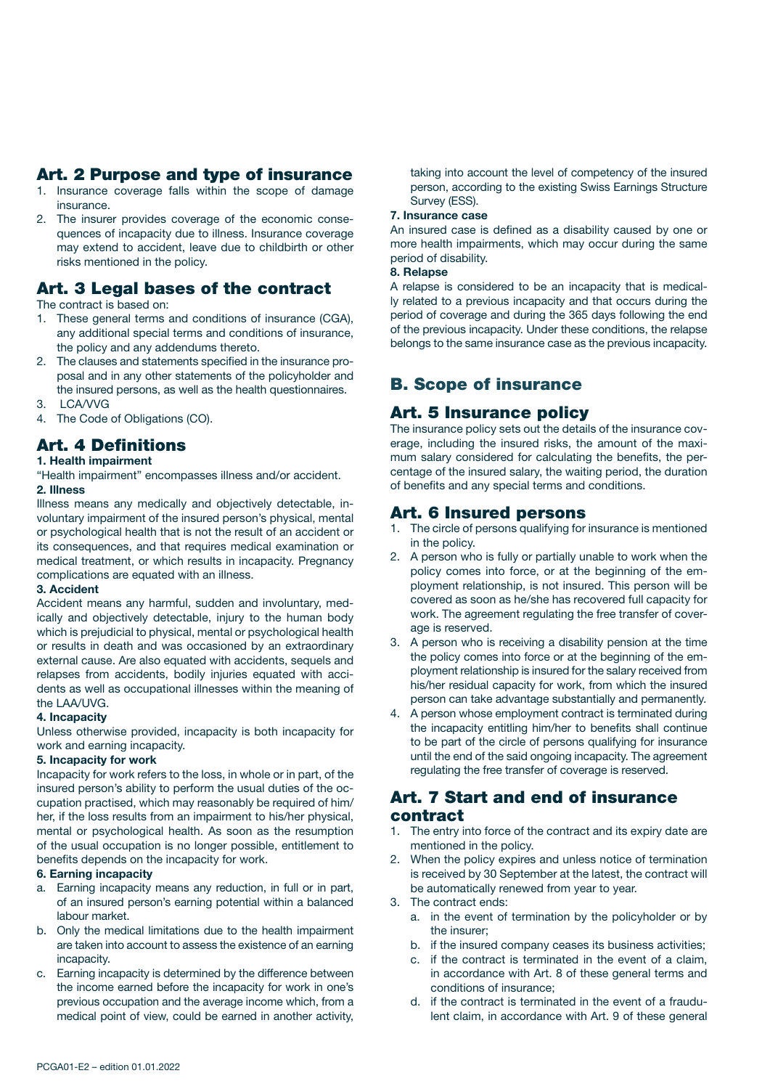# Art. 2 Purpose and type of insurance

- 1. Insurance coverage falls within the scope of damage insurance.
- 2. The insurer provides coverage of the economic consequences of incapacity due to illness. Insurance coverage may extend to accident, leave due to childbirth or other risks mentioned in the policy.

# Art. 3 Legal bases of the contract

The contract is based on:

- 1. These general terms and conditions of insurance (CGA), any additional special terms and conditions of insurance, the policy and any addendums thereto.
- 2. The clauses and statements specified in the insurance proposal and in any other statements of the policyholder and the insured persons, as well as the health questionnaires.
- 3. LCA/VVG
- 4. The Code of Obligations (CO).

# Art. 4 Definitions

## 1. Health impairment

"Health impairment" encompasses illness and/or accident. 2. Illness

Illness means any medically and objectively detectable, involuntary impairment of the insured person's physical, mental or psychological health that is not the result of an accident or its consequences, and that requires medical examination or medical treatment, or which results in incapacity. Pregnancy complications are equated with an illness.

#### 3. Accident

Accident means any harmful, sudden and involuntary, medically and objectively detectable, injury to the human body which is prejudicial to physical, mental or psychological health or results in death and was occasioned by an extraordinary external cause. Are also equated with accidents, sequels and relapses from accidents, bodily injuries equated with accidents as well as occupational illnesses within the meaning of the LAA/UVG.

#### 4. Incapacity

Unless otherwise provided, incapacity is both incapacity for work and earning incapacity.

#### 5. Incapacity for work

Incapacity for work refers to the loss, in whole or in part, of the insured person's ability to perform the usual duties of the occupation practised, which may reasonably be required of him/ her, if the loss results from an impairment to his/her physical, mental or psychological health. As soon as the resumption of the usual occupation is no longer possible, entitlement to benefits depends on the incapacity for work.

#### 6. Earning incapacity

- a. Earning incapacity means any reduction, in full or in part, of an insured person's earning potential within a balanced labour market.
- b. Only the medical limitations due to the health impairment are taken into account to assess the existence of an earning incapacity.
- c. Earning incapacity is determined by the difference between the income earned before the incapacity for work in one's previous occupation and the average income which, from a medical point of view, could be earned in another activity,

taking into account the level of competency of the insured person, according to the existing Swiss Earnings Structure Survey (ESS).

#### 7. Insurance case

An insured case is defined as a disability caused by one or more health impairments, which may occur during the same period of disability.

#### 8. Relapse

A relapse is considered to be an incapacity that is medically related to a previous incapacity and that occurs during the period of coverage and during the 365 days following the end of the previous incapacity. Under these conditions, the relapse belongs to the same insurance case as the previous incapacity.

# B. Scope of insurance

## Art. 5 Insurance policy

The insurance policy sets out the details of the insurance coverage, including the insured risks, the amount of the maximum salary considered for calculating the benefits, the percentage of the insured salary, the waiting period, the duration of benefits and any special terms and conditions.

# Art. 6 Insured persons

- 1. The circle of persons qualifying for insurance is mentioned in the policy.
- 2. A person who is fully or partially unable to work when the policy comes into force, or at the beginning of the employment relationship, is not insured. This person will be covered as soon as he/she has recovered full capacity for work. The agreement regulating the free transfer of coverage is reserved.
- 3. A person who is receiving a disability pension at the time the policy comes into force or at the beginning of the employment relationship is insured for the salary received from his/her residual capacity for work, from which the insured person can take advantage substantially and permanently.
- 4. A person whose employment contract is terminated during the incapacity entitling him/her to benefits shall continue to be part of the circle of persons qualifying for insurance until the end of the said ongoing incapacity. The agreement regulating the free transfer of coverage is reserved.

## Art. 7 Start and end of insurance contract

- 1. The entry into force of the contract and its expiry date are mentioned in the policy.
- 2. When the policy expires and unless notice of termination is received by 30 September at the latest, the contract will be automatically renewed from year to year.
- 3. The contract ends:
	- a. in the event of termination by the policyholder or by the insurer;
	- b. if the insured company ceases its business activities;
	- c. if the contract is terminated in the event of a claim, in accordance with Art. 8 of these general terms and conditions of insurance;
	- d. if the contract is terminated in the event of a fraudulent claim, in accordance with Art. 9 of these general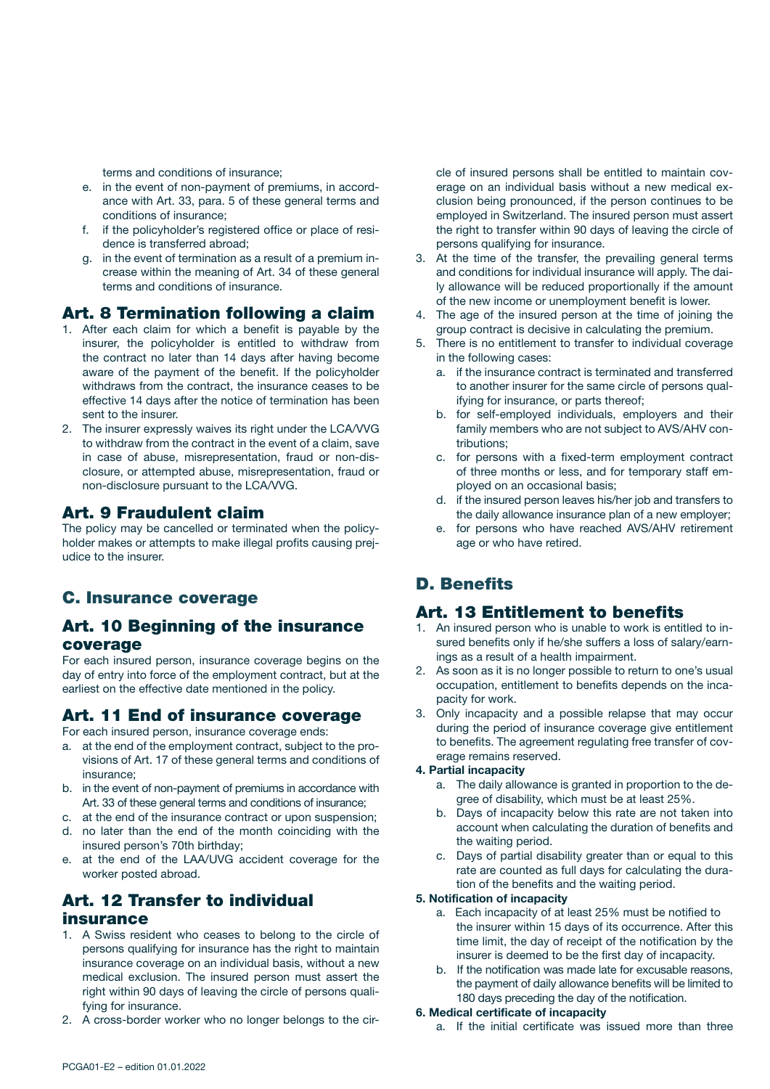terms and conditions of insurance;

- e. in the event of non-payment of premiums, in accordance with Art. 33, para. 5 of these general terms and conditions of insurance;
- f. if the policyholder's registered office or place of residence is transferred abroad;
- g. in the event of termination as a result of a premium increase within the meaning of Art. 34 of these general terms and conditions of insurance.

## Art. 8 Termination following a claim

- 1. After each claim for which a benefit is payable by the insurer, the policyholder is entitled to withdraw from the contract no later than 14 days after having become aware of the payment of the benefit. If the policyholder withdraws from the contract, the insurance ceases to be effective 14 days after the notice of termination has been sent to the insurer.
- 2. The insurer expressly waives its right under the LCA/VVG to withdraw from the contract in the event of a claim, save in case of abuse, misrepresentation, fraud or non-disclosure, or attempted abuse, misrepresentation, fraud or non-disclosure pursuant to the LCA/VVG.

# Art. 9 Fraudulent claim

The policy may be cancelled or terminated when the policyholder makes or attempts to make illegal profits causing prejudice to the insurer.

# C. Insurance coverage

## Art. 10 Beginning of the insurance coverage

For each insured person, insurance coverage begins on the day of entry into force of the employment contract, but at the earliest on the effective date mentioned in the policy.

# Art. 11 End of insurance coverage

For each insured person, insurance coverage ends:

- a. at the end of the employment contract, subject to the provisions of Art. 17 of these general terms and conditions of insurance;
- b. in the event of non-payment of premiums in accordance with Art. 33 of these general terms and conditions of insurance;
- c. at the end of the insurance contract or upon suspension;
- d. no later than the end of the month coinciding with the insured person's 70th birthday;
- e. at the end of the LAA/UVG accident coverage for the worker posted abroad.

# Art. 12 Transfer to individual insurance

- 1. A Swiss resident who ceases to belong to the circle of persons qualifying for insurance has the right to maintain insurance coverage on an individual basis, without a new medical exclusion. The insured person must assert the right within 90 days of leaving the circle of persons qualifying for insurance.
- 2. A cross-border worker who no longer belongs to the cir-

cle of insured persons shall be entitled to maintain coverage on an individual basis without a new medical exclusion being pronounced, if the person continues to be employed in Switzerland. The insured person must assert the right to transfer within 90 days of leaving the circle of persons qualifying for insurance.

- 3. At the time of the transfer, the prevailing general terms and conditions for individual insurance will apply. The daily allowance will be reduced proportionally if the amount of the new income or unemployment benefit is lower.
- 4. The age of the insured person at the time of joining the group contract is decisive in calculating the premium.
- 5. There is no entitlement to transfer to individual coverage in the following cases:
	- a. if the insurance contract is terminated and transferred to another insurer for the same circle of persons qualifying for insurance, or parts thereof;
	- b. for self-employed individuals, employers and their family members who are not subject to AVS/AHV contributions;
	- c. for persons with a fixed-term employment contract of three months or less, and for temporary staff employed on an occasional basis;
	- d. if the insured person leaves his/her job and transfers to the daily allowance insurance plan of a new employer;
	- e. for persons who have reached AVS/AHV retirement age or who have retired.

# D. Benefits

## Art. 13 Entitlement to benefits

- 1. An insured person who is unable to work is entitled to insured benefits only if he/she suffers a loss of salary/earnings as a result of a health impairment.
- 2. As soon as it is no longer possible to return to one's usual occupation, entitlement to benefits depends on the incapacity for work.
- 3. Only incapacity and a possible relapse that may occur during the period of insurance coverage give entitlement to benefits. The agreement regulating free transfer of coverage remains reserved.

#### 4. Partial incapacity

- a. The daily allowance is granted in proportion to the degree of disability, which must be at least 25%.
- b. Days of incapacity below this rate are not taken into account when calculating the duration of benefits and the waiting period.
- c. Days of partial disability greater than or equal to this rate are counted as full days for calculating the duration of the benefits and the waiting period.

#### 5. Notification of incapacity

- a. Each incapacity of at least 25% must be notified to the insurer within 15 days of its occurrence. After this time limit, the day of receipt of the notification by the insurer is deemed to be the first day of incapacity.
- b. If the notification was made late for excusable reasons, the payment of daily allowance benefits will be limited to 180 days preceding the day of the notification.

#### 6. Medical certificate of incapacity

a. If the initial certificate was issued more than three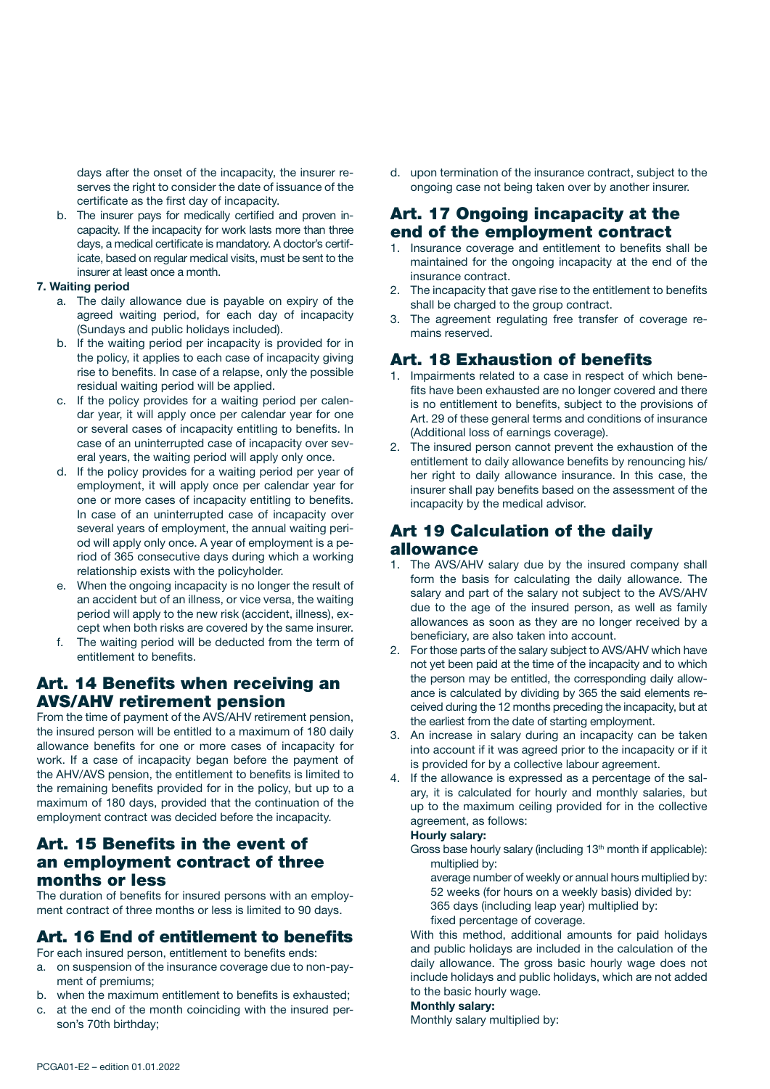days after the onset of the incapacity, the insurer reserves the right to consider the date of issuance of the certificate as the first day of incapacity.

b. The insurer pays for medically certified and proven incapacity. If the incapacity for work lasts more than three days, a medical certificate is mandatory. A doctor's certificate, based on regular medical visits, must be sent to the insurer at least once a month.

#### 7. Waiting period

- a. The daily allowance due is payable on expiry of the agreed waiting period, for each day of incapacity (Sundays and public holidays included).
- b. If the waiting period per incapacity is provided for in the policy, it applies to each case of incapacity giving rise to benefits. In case of a relapse, only the possible residual waiting period will be applied.
- c. If the policy provides for a waiting period per calendar year, it will apply once per calendar year for one or several cases of incapacity entitling to benefits. In case of an uninterrupted case of incapacity over several years, the waiting period will apply only once.
- d. If the policy provides for a waiting period per year of employment, it will apply once per calendar year for one or more cases of incapacity entitling to benefits. In case of an uninterrupted case of incapacity over several years of employment, the annual waiting period will apply only once. A year of employment is a period of 365 consecutive days during which a working relationship exists with the policyholder.
- e. When the ongoing incapacity is no longer the result of an accident but of an illness, or vice versa, the waiting period will apply to the new risk (accident, illness), except when both risks are covered by the same insurer.
- f. The waiting period will be deducted from the term of entitlement to benefits.

## Art. 14 Benefits when receiving an AVS/AHV retirement pension

From the time of payment of the AVS/AHV retirement pension, the insured person will be entitled to a maximum of 180 daily allowance benefits for one or more cases of incapacity for work. If a case of incapacity began before the payment of the AHV/AVS pension, the entitlement to benefits is limited to the remaining benefits provided for in the policy, but up to a maximum of 180 days, provided that the continuation of the employment contract was decided before the incapacity.

## Art. 15 Benefits in the event of an employment contract of three months or less

The duration of benefits for insured persons with an employment contract of three months or less is limited to 90 days.

#### Art. 16 End of entitlement to benefits

For each insured person, entitlement to benefits ends:

- a. on suspension of the insurance coverage due to non-payment of premiums;
- b. when the maximum entitlement to benefits is exhausted;
- c. at the end of the month coinciding with the insured person's 70th birthday;

d. upon termination of the insurance contract, subject to the ongoing case not being taken over by another insurer.

## Art. 17 Ongoing incapacity at the end of the employment contract

- 1. Insurance coverage and entitlement to benefits shall be maintained for the ongoing incapacity at the end of the insurance contract.
- 2. The incapacity that gave rise to the entitlement to benefits shall be charged to the group contract.
- 3. The agreement regulating free transfer of coverage remains reserved.

### Art. 18 Exhaustion of benefits

- 1. Impairments related to a case in respect of which benefits have been exhausted are no longer covered and there is no entitlement to benefits, subject to the provisions of Art. 29 of these general terms and conditions of insurance (Additional loss of earnings coverage).
- 2. The insured person cannot prevent the exhaustion of the entitlement to daily allowance benefits by renouncing his/ her right to daily allowance insurance. In this case, the insurer shall pay benefits based on the assessment of the incapacity by the medical advisor.

# Art 19 Calculation of the daily allowance

- 1. The AVS/AHV salary due by the insured company shall form the basis for calculating the daily allowance. The salary and part of the salary not subject to the AVS/AHV due to the age of the insured person, as well as family allowances as soon as they are no longer received by a beneficiary, are also taken into account.
- 2. For those parts of the salary subject to AVS/AHV which have not yet been paid at the time of the incapacity and to which the person may be entitled, the corresponding daily allowance is calculated by dividing by 365 the said elements received during the 12 months preceding the incapacity, but at the earliest from the date of starting employment.
- 3. An increase in salary during an incapacity can be taken into account if it was agreed prior to the incapacity or if it is provided for by a collective labour agreement.
- 4. If the allowance is expressed as a percentage of the salary, it is calculated for hourly and monthly salaries, but up to the maximum ceiling provided for in the collective agreement, as follows:

#### Hourly salary:

- Gross base hourly salary (including  $13<sup>th</sup>$  month if applicable): multiplied by:
	- average number of weekly or annual hours multiplied by: 52 weeks (for hours on a weekly basis) divided by: 365 days (including leap year) multiplied by:
	- fixed percentage of coverage.

With this method, additional amounts for paid holidays and public holidays are included in the calculation of the daily allowance. The gross basic hourly wage does not include holidays and public holidays, which are not added to the basic hourly wage.

#### Monthly salary:

Monthly salary multiplied by: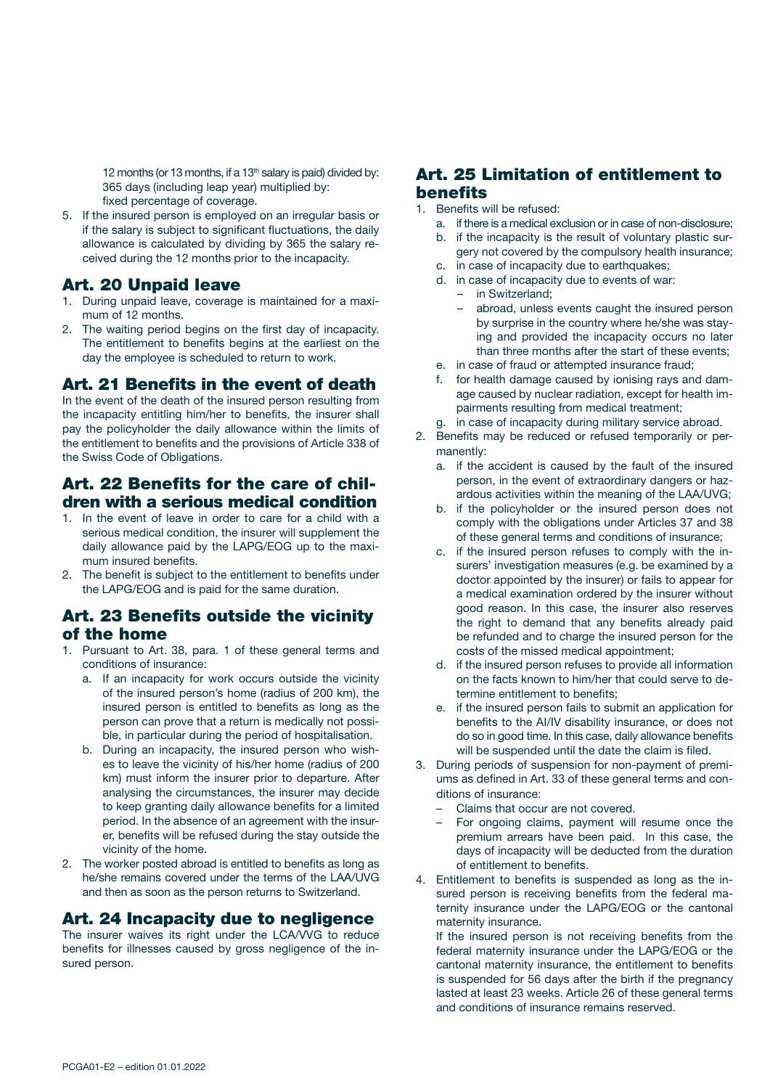12 months (or 13 months, if a 13<sup>th</sup> salary is paid) divided by: 365 days (including leap year) multiplied by: fixed percentage of coverage.

5. If the insured person is employed on an irregular basis or if the salary is subject to significant fluctuations, the daily allowance is calculated by dividing by 365 the salary received during the 12 months prior to the incapacity.

# Art. 20 Unpaid leave

- 1. During unpaid leave, coverage is maintained for a maximum of 12 months.
- 2. The waiting period begins on the first day of incapacity. The entitlement to benefits begins at the earliest on the day the employee is scheduled to return to work.

# Art. 21 Benefits in the event of death

In the event of the death of the insured person resulting from the incapacity entitling him/her to benefits, the insurer shall pay the policyholder the daily allowance within the limits of the entitlement to benefits and the provisions of Article 338 of the Swiss Code of Obligations.

# Art. 22 Benefits for the care of children with a serious medical condition

- 1. In the event of leave in order to care for a child with a serious medical condition, the insurer will supplement the daily allowance paid by the LAPG/EOG up to the maximum insured benefits.
- 2. The benefit is subject to the entitlement to benefits under the LAPG/EOG and is paid for the same duration.

# Art. 23 Benefits outside the vicinity of the home

- 1. Pursuant to Art. 38, para. 1 of these general terms and conditions of insurance:
	- a. If an incapacity for work occurs outside the vicinity of the insured person's home (radius of 200 km), the insured person is entitled to benefits as long as the person can prove that a return is medically not possible, in particular during the period of hospitalisation.
	- b. During an incapacity, the insured person who wishes to leave the vicinity of his/her home (radius of 200 km) must inform the insurer prior to departure. After analysing the circumstances, the insurer may decide to keep granting daily allowance benefits for a limited period. In the absence of an agreement with the insurer, benefits will be refused during the stay outside the vicinity of the home.
- 2. The worker posted abroad is entitled to benefits as long as he/she remains covered under the terms of the LAA/UVG and then as soon as the person returns to Switzerland.

# Art. 24 Incapacity due to negligence

The insurer waives its right under the LCA/VVG to reduce benefits for illnesses caused by gross negligence of the insured person.

# Art. 25 Limitation of entitlement to benefits

- 1. Benefits will be refused:
	- a. if there is a medical exclusion or in case of non-disclosure;
	- b. if the incapacity is the result of voluntary plastic surgery not covered by the compulsory health insurance;
	- c. in case of incapacity due to earthquakes; d. in case of incapacity due to events of war:
		- in Switzerland;
		- abroad, unless events caught the insured person by surprise in the country where he/she was staying and provided the incapacity occurs no later than three months after the start of these events;
	- e. in case of fraud or attempted insurance fraud;
	- f. for health damage caused by ionising rays and damage caused by nuclear radiation, except for health impairments resulting from medical treatment;
	- g. in case of incapacity during military service abroad.
- 2. Benefits may be reduced or refused temporarily or permanently:
	- a. if the accident is caused by the fault of the insured person, in the event of extraordinary dangers or hazardous activities within the meaning of the LAA/UVG;
	- b. if the policyholder or the insured person does not comply with the obligations under Articles 37 and 38 of these general terms and conditions of insurance;
	- c. if the insured person refuses to comply with the insurers' investigation measures (e.g. be examined by a doctor appointed by the insurer) or fails to appear for a medical examination ordered by the insurer without good reason. In this case, the insurer also reserves the right to demand that any benefits already paid be refunded and to charge the insured person for the costs of the missed medical appointment;
	- d. if the insured person refuses to provide all information on the facts known to him/her that could serve to determine entitlement to benefits;
	- e. if the insured person fails to submit an application for benefits to the AI/IV disability insurance, or does not do so in good time. In this case, daily allowance benefits will be suspended until the date the claim is filed.
- 3. During periods of suspension for non-payment of premiums as defined in Art. 33 of these general terms and conditions of insurance:
	- Claims that occur are not covered.
	- For ongoing claims, payment will resume once the premium arrears have been paid. In this case, the days of incapacity will be deducted from the duration of entitlement to benefits.
- 4. Entitlement to benefits is suspended as long as the insured person is receiving benefits from the federal maternity insurance under the LAPG/EOG or the cantonal maternity insurance.

If the insured person is not receiving benefits from the federal maternity insurance under the LAPG/EOG or the cantonal maternity insurance, the entitlement to benefits is suspended for 56 days after the birth if the pregnancy lasted at least 23 weeks. Article 26 of these general terms and conditions of insurance remains reserved.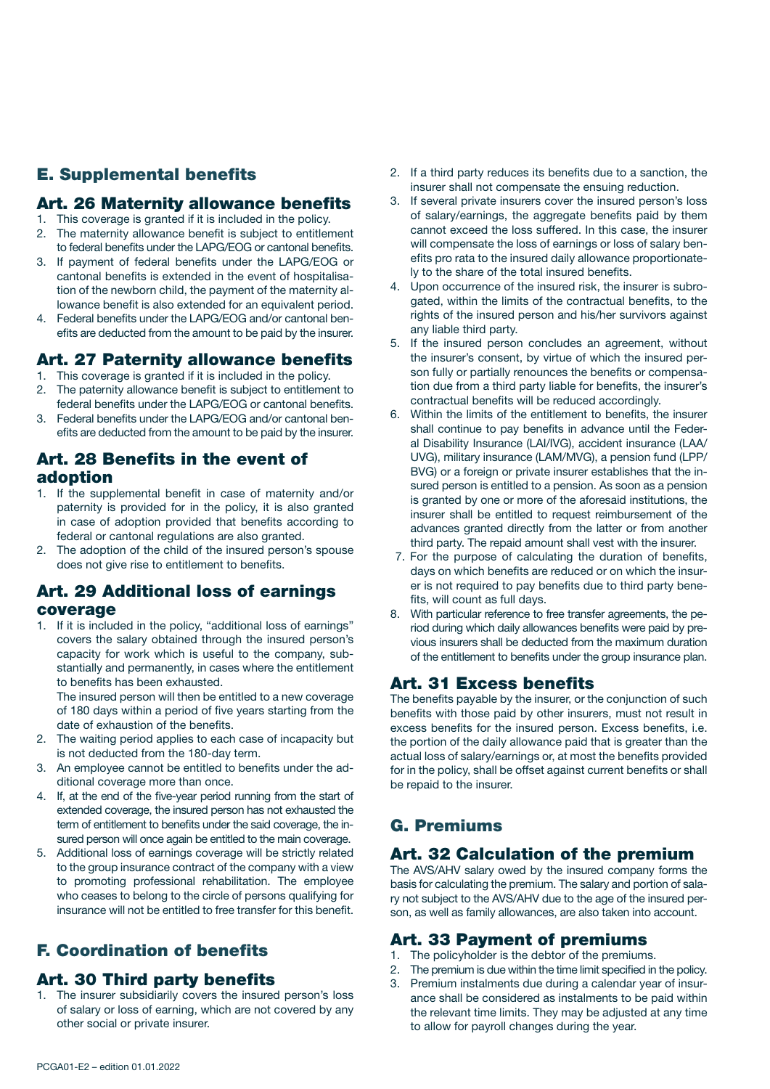# E. Supplemental benefits

#### Art. 26 Maternity allowance benefits

- 1. This coverage is granted if it is included in the policy. 2. The maternity allowance benefit is subject to entitlement
- to federal benefits under the LAPG/EOG or cantonal benefits. 3. If payment of federal benefits under the LAPG/EOG or cantonal benefits is extended in the event of hospitalisation of the newborn child, the payment of the maternity allowance benefit is also extended for an equivalent period.
- 4. Federal benefits under the LAPG/EOG and/or cantonal benefits are deducted from the amount to be paid by the insurer.

# Art. 27 Paternity allowance benefits

1. This coverage is granted if it is included in the policy.

- 2. The paternity allowance benefit is subject to entitlement to federal benefits under the LAPG/EOG or cantonal benefits.
- 3. Federal benefits under the LAPG/EOG and/or cantonal benefits are deducted from the amount to be paid by the insurer.

# Art. 28 Benefits in the event of adoption

- 1. If the supplemental benefit in case of maternity and/or paternity is provided for in the policy, it is also granted in case of adoption provided that benefits according to federal or cantonal regulations are also granted.
- 2. The adoption of the child of the insured person's spouse does not give rise to entitlement to benefits.

# Art. 29 Additional loss of earnings coverage

1. If it is included in the policy, "additional loss of earnings" covers the salary obtained through the insured person's capacity for work which is useful to the company, substantially and permanently, in cases where the entitlement to benefits has been exhausted.

The insured person will then be entitled to a new coverage of 180 days within a period of five years starting from the date of exhaustion of the benefits.

- 2. The waiting period applies to each case of incapacity but is not deducted from the 180-day term.
- 3. An employee cannot be entitled to benefits under the additional coverage more than once.
- 4. If, at the end of the five-year period running from the start of extended coverage, the insured person has not exhausted the term of entitlement to benefits under the said coverage, the insured person will once again be entitled to the main coverage.
- 5. Additional loss of earnings coverage will be strictly related to the group insurance contract of the company with a view to promoting professional rehabilitation. The employee who ceases to belong to the circle of persons qualifying for insurance will not be entitled to free transfer for this benefit.

# F. Coordination of benefits

# Art. 30 Third party benefits

1. The insurer subsidiarily covers the insured person's loss of salary or loss of earning, which are not covered by any other social or private insurer.

- 2. If a third party reduces its benefits due to a sanction, the insurer shall not compensate the ensuing reduction.
- 3. If several private insurers cover the insured person's loss of salary/earnings, the aggregate benefits paid by them cannot exceed the loss suffered. In this case, the insurer will compensate the loss of earnings or loss of salary benefits pro rata to the insured daily allowance proportionately to the share of the total insured benefits.
- 4. Upon occurrence of the insured risk, the insurer is subrogated, within the limits of the contractual benefits, to the rights of the insured person and his/her survivors against any liable third party.
- 5. If the insured person concludes an agreement, without the insurer's consent, by virtue of which the insured person fully or partially renounces the benefits or compensation due from a third party liable for benefits, the insurer's contractual benefits will be reduced accordingly.
- 6. Within the limits of the entitlement to benefits, the insurer shall continue to pay benefits in advance until the Federal Disability Insurance (LAI/IVG), accident insurance (LAA/ UVG), military insurance (LAM/MVG), a pension fund (LPP/ BVG) or a foreign or private insurer establishes that the insured person is entitled to a pension. As soon as a pension is granted by one or more of the aforesaid institutions, the insurer shall be entitled to request reimbursement of the advances granted directly from the latter or from another third party. The repaid amount shall vest with the insurer.
- 7. For the purpose of calculating the duration of benefits, days on which benefits are reduced or on which the insurer is not required to pay benefits due to third party benefits, will count as full days.
- 8. With particular reference to free transfer agreements, the period during which daily allowances benefits were paid by previous insurers shall be deducted from the maximum duration of the entitlement to benefits under the group insurance plan.

# Art. 31 Excess benefits

The benefits payable by the insurer, or the conjunction of such benefits with those paid by other insurers, must not result in excess benefits for the insured person. Excess benefits, i.e. the portion of the daily allowance paid that is greater than the actual loss of salary/earnings or, at most the benefits provided for in the policy, shall be offset against current benefits or shall be repaid to the insurer.

# G. Premiums

# Art. 32 Calculation of the premium

The AVS/AHV salary owed by the insured company forms the basis for calculating the premium. The salary and portion of salary not subject to the AVS/AHV due to the age of the insured person, as well as family allowances, are also taken into account.

# Art. 33 Payment of premiums

- 1. The policyholder is the debtor of the premiums.
- 2. The premium is due within the time limit specified in the policy.
- 3. Premium instalments due during a calendar year of insurance shall be considered as instalments to be paid within the relevant time limits. They may be adjusted at any time to allow for payroll changes during the year.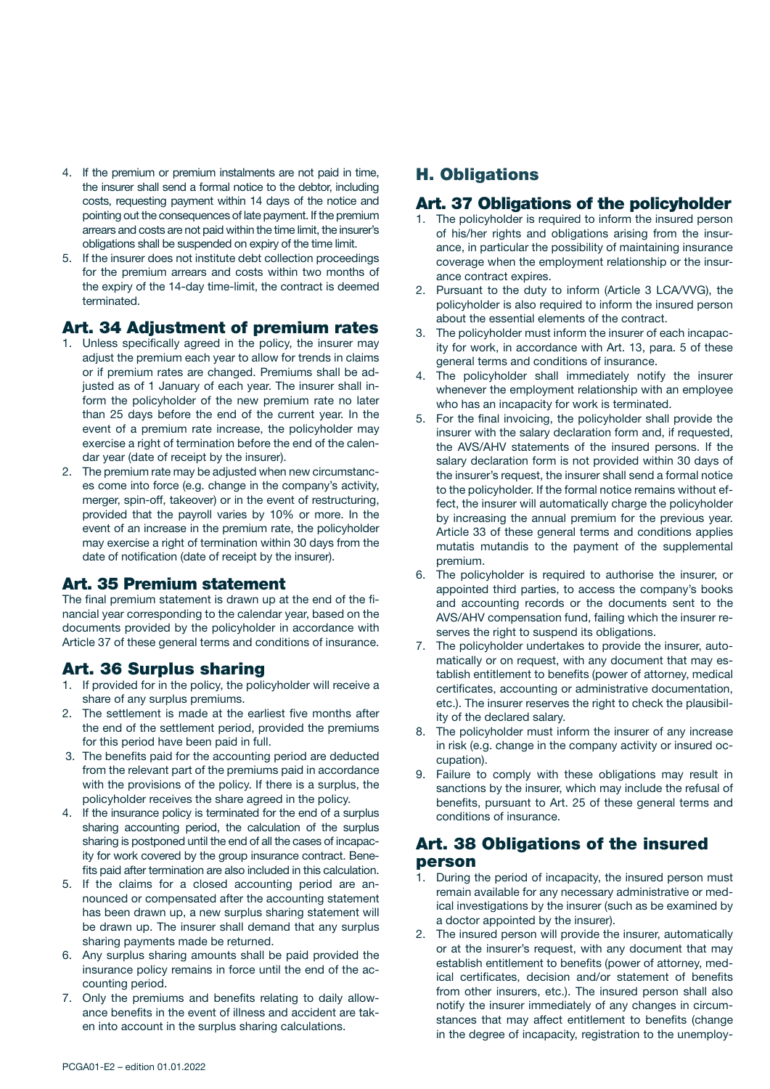- 4. If the premium or premium instalments are not paid in time, the insurer shall send a formal notice to the debtor, including costs, requesting payment within 14 days of the notice and pointing out the consequences of late payment. If the premium arrears and costs are not paid within the time limit, the insurer's obligations shall be suspended on expiry of the time limit.
- 5. If the insurer does not institute debt collection proceedings for the premium arrears and costs within two months of the expiry of the 14-day time-limit, the contract is deemed terminated.

# Art. 34 Adjustment of premium rates

- 1. Unless specifically agreed in the policy, the insurer may adjust the premium each year to allow for trends in claims or if premium rates are changed. Premiums shall be adjusted as of 1 January of each year. The insurer shall inform the policyholder of the new premium rate no later than 25 days before the end of the current year. In the event of a premium rate increase, the policyholder may exercise a right of termination before the end of the calendar year (date of receipt by the insurer).
- 2. The premium rate may be adjusted when new circumstances come into force (e.g. change in the company's activity, merger, spin-off, takeover) or in the event of restructuring, provided that the payroll varies by 10% or more. In the event of an increase in the premium rate, the policyholder may exercise a right of termination within 30 days from the date of notification (date of receipt by the insurer).

# Art. 35 Premium statement

The final premium statement is drawn up at the end of the financial year corresponding to the calendar year, based on the documents provided by the policyholder in accordance with Article 37 of these general terms and conditions of insurance.

# Art. 36 Surplus sharing

- 1. If provided for in the policy, the policyholder will receive a share of any surplus premiums.
- 2. The settlement is made at the earliest five months after the end of the settlement period, provided the premiums for this period have been paid in full.
- 3. The benefits paid for the accounting period are deducted from the relevant part of the premiums paid in accordance with the provisions of the policy. If there is a surplus, the policyholder receives the share agreed in the policy.
- 4. If the insurance policy is terminated for the end of a surplus sharing accounting period, the calculation of the surplus sharing is postponed until the end of all the cases of incapacity for work covered by the group insurance contract. Benefits paid after termination are also included in this calculation.
- 5. If the claims for a closed accounting period are announced or compensated after the accounting statement has been drawn up, a new surplus sharing statement will be drawn up. The insurer shall demand that any surplus sharing payments made be returned.
- 6. Any surplus sharing amounts shall be paid provided the insurance policy remains in force until the end of the accounting period.
- 7. Only the premiums and benefits relating to daily allowance benefits in the event of illness and accident are taken into account in the surplus sharing calculations.

# H. Obligations

## Art. 37 Obligations of the policyholder

- 1. The policyholder is required to inform the insured person of his/her rights and obligations arising from the insurance, in particular the possibility of maintaining insurance coverage when the employment relationship or the insurance contract expires.
- 2. Pursuant to the duty to inform (Article 3 LCA/VVG), the policyholder is also required to inform the insured person about the essential elements of the contract.
- 3. The policyholder must inform the insurer of each incapacity for work, in accordance with Art. 13, para. 5 of these general terms and conditions of insurance.
- 4. The policyholder shall immediately notify the insurer whenever the employment relationship with an employee who has an incapacity for work is terminated.
- 5. For the final invoicing, the policyholder shall provide the insurer with the salary declaration form and, if requested, the AVS/AHV statements of the insured persons. If the salary declaration form is not provided within 30 days of the insurer's request, the insurer shall send a formal notice to the policyholder. If the formal notice remains without effect, the insurer will automatically charge the policyholder by increasing the annual premium for the previous year. Article 33 of these general terms and conditions applies mutatis mutandis to the payment of the supplemental premium.
- 6. The policyholder is required to authorise the insurer, or appointed third parties, to access the company's books and accounting records or the documents sent to the AVS/AHV compensation fund, failing which the insurer reserves the right to suspend its obligations.
- 7. The policyholder undertakes to provide the insurer, automatically or on request, with any document that may establish entitlement to benefits (power of attorney, medical certificates, accounting or administrative documentation, etc.). The insurer reserves the right to check the plausibility of the declared salary.
- 8. The policyholder must inform the insurer of any increase in risk (e.g. change in the company activity or insured occupation).
- 9. Failure to comply with these obligations may result in sanctions by the insurer, which may include the refusal of benefits, pursuant to Art. 25 of these general terms and conditions of insurance.

# Art. 38 Obligations of the insured person

- 1. During the period of incapacity, the insured person must remain available for any necessary administrative or medical investigations by the insurer (such as be examined by a doctor appointed by the insurer).
- 2. The insured person will provide the insurer, automatically or at the insurer's request, with any document that may establish entitlement to benefits (power of attorney, medical certificates, decision and/or statement of benefits from other insurers, etc.). The insured person shall also notify the insurer immediately of any changes in circumstances that may affect entitlement to benefits (change in the degree of incapacity, registration to the unemploy-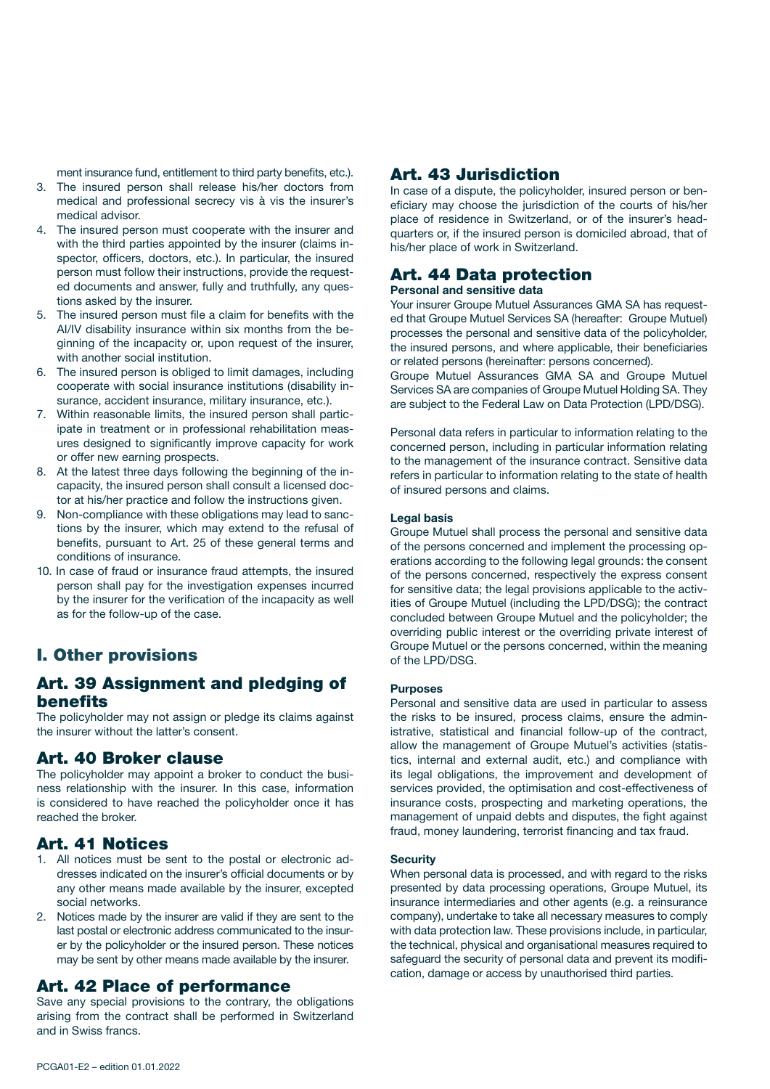ment insurance fund, entitlement to third party benefits, etc.).

- 3. The insured person shall release his/her doctors from medical and professional secrecy vis à vis the insurer's medical advisor.
- 4. The insured person must cooperate with the insurer and with the third parties appointed by the insurer (claims inspector, officers, doctors, etc.). In particular, the insured person must follow their instructions, provide the requested documents and answer, fully and truthfully, any questions asked by the insurer.
- 5. The insured person must file a claim for benefits with the AI/IV disability insurance within six months from the beginning of the incapacity or, upon request of the insurer, with another social institution.
- 6. The insured person is obliged to limit damages, including cooperate with social insurance institutions (disability insurance, accident insurance, military insurance, etc.).
- 7. Within reasonable limits, the insured person shall participate in treatment or in professional rehabilitation measures designed to significantly improve capacity for work or offer new earning prospects.
- 8. At the latest three days following the beginning of the incapacity, the insured person shall consult a licensed doctor at his/her practice and follow the instructions given.
- 9. Non-compliance with these obligations may lead to sanctions by the insurer, which may extend to the refusal of benefits, pursuant to Art. 25 of these general terms and conditions of insurance.
- 10. In case of fraud or insurance fraud attempts, the insured person shall pay for the investigation expenses incurred by the insurer for the verification of the incapacity as well as for the follow-up of the case.

# I. Other provisions

## Art. 39 Assignment and pledging of benefits

The policyholder may not assign or pledge its claims against the insurer without the latter's consent.

## Art. 40 Broker clause

The policyholder may appoint a broker to conduct the business relationship with the insurer. In this case, information is considered to have reached the policyholder once it has reached the broker.

## Art. 41 Notices

- 1. All notices must be sent to the postal or electronic addresses indicated on the insurer's official documents or by any other means made available by the insurer, excepted social networks.
- 2. Notices made by the insurer are valid if they are sent to the last postal or electronic address communicated to the insurer by the policyholder or the insured person. These notices may be sent by other means made available by the insurer.

## Art. 42 Place of performance

Save any special provisions to the contrary, the obligations arising from the contract shall be performed in Switzerland and in Swiss francs.

## Art. 43 Jurisdiction

In case of a dispute, the policyholder, insured person or beneficiary may choose the jurisdiction of the courts of his/her place of residence in Switzerland, or of the insurer's headquarters or, if the insured person is domiciled abroad, that of his/her place of work in Switzerland.

# Art. 44 Data protection

Personal and sensitive data

Your insurer Groupe Mutuel Assurances GMA SA has requested that Groupe Mutuel Services SA (hereafter: Groupe Mutuel) processes the personal and sensitive data of the policyholder, the insured persons, and where applicable, their beneficiaries or related persons (hereinafter: persons concerned).

Groupe Mutuel Assurances GMA SA and Groupe Mutuel Services SA are companies of Groupe Mutuel Holding SA. They are subject to the Federal Law on Data Protection (LPD/DSG).

Personal data refers in particular to information relating to the concerned person, including in particular information relating to the management of the insurance contract. Sensitive data refers in particular to information relating to the state of health of insured persons and claims.

#### Legal basis

Groupe Mutuel shall process the personal and sensitive data of the persons concerned and implement the processing operations according to the following legal grounds: the consent of the persons concerned, respectively the express consent for sensitive data; the legal provisions applicable to the activities of Groupe Mutuel (including the LPD/DSG); the contract concluded between Groupe Mutuel and the policyholder; the overriding public interest or the overriding private interest of Groupe Mutuel or the persons concerned, within the meaning of the LPD/DSG.

#### **Purposes**

Personal and sensitive data are used in particular to assess the risks to be insured, process claims, ensure the administrative, statistical and financial follow-up of the contract, allow the management of Groupe Mutuel's activities (statistics, internal and external audit, etc.) and compliance with its legal obligations, the improvement and development of services provided, the optimisation and cost-effectiveness of insurance costs, prospecting and marketing operations, the management of unpaid debts and disputes, the fight against fraud, money laundering, terrorist financing and tax fraud.

#### **Security**

When personal data is processed, and with regard to the risks presented by data processing operations, Groupe Mutuel, its insurance intermediaries and other agents (e.g. a reinsurance company), undertake to take all necessary measures to comply with data protection law. These provisions include, in particular, the technical, physical and organisational measures required to safeguard the security of personal data and prevent its modification, damage or access by unauthorised third parties.